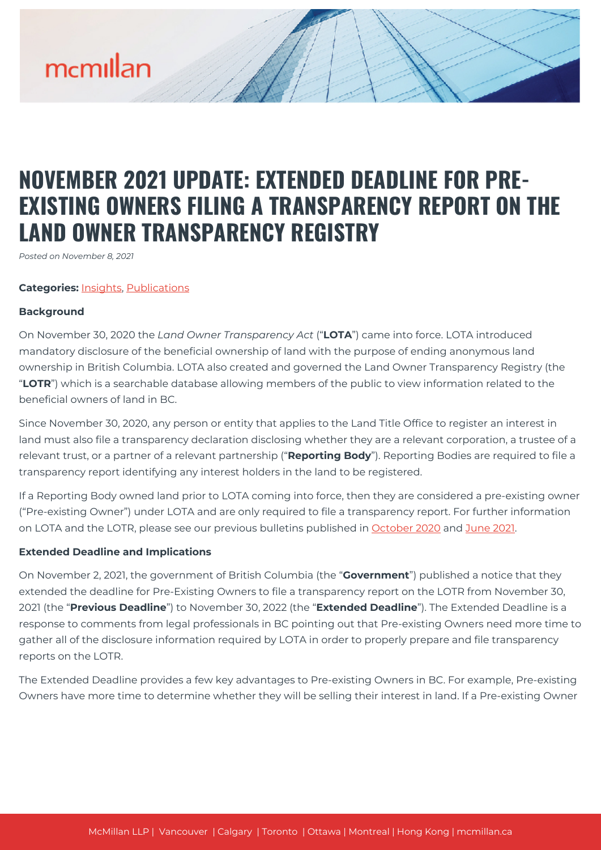# mcmillan

# **NOVEMBER 2021 UPDATE: EXTENDED DEADLINE FOR PRE-EXISTING OWNERS FILING A TRANSPARENCY REPORT ON THE LAND OWNER TRANSPARENCY REGISTRY**

*Posted on November 8, 2021*

## **Categories:** [Insights,](https://mcmillan.ca/insights/) [Publications](https://mcmillan.ca/insights/publications/)

#### **Background**

On November 30, 2020 the *Land Owner Transparency Act* ("**LOTA**") came into force. LOTA introduced mandatory disclosure of the beneficial ownership of land with the purpose of ending anonymous land ownership in British Columbia. LOTA also created and governed the Land Owner Transparency Registry (the "**LOTR**") which is a searchable database allowing members of the public to view information related to the beneficial owners of land in BC.

Since November 30, 2020, any person or entity that applies to the Land Title Office to register an interest in land must also file a transparency declaration disclosing whether they are a relevant corporation, a trustee of a relevant trust, or a partner of a relevant partnership ("**Reporting Body**"). Reporting Bodies are required to file a transparency report identifying any interest holders in the land to be registered.

If a Reporting Body owned land prior to LOTA coming into force, then they are considered a pre-existing owner ("Pre-existing Owner") under LOTA and are only required to file a transparency report. For further information on LOTA and the LOTR, please see our previous bulletins published in [October 2020](https://mcmillan.ca/insights/update-british-columbias-new-registry-of-beneficial-ownership/) and [June 2021](https://mcmillan.ca/uncategorized/june-2021-update-british-columbias-new-registry-of-beneficial-ownership/).

# **Extended Deadline and Implications**

On November 2, 2021, the government of British Columbia (the "**Government**") published a notice that they extended the deadline for Pre-Existing Owners to file a transparency report on the LOTR from November 30, 2021 (the "**Previous Deadline**") to November 30, 2022 (the "**Extended Deadline**"). The Extended Deadline is a response to comments from legal professionals in BC pointing out that Pre-existing Owners need more time to gather all of the disclosure information required by LOTA in order to properly prepare and file transparency reports on the LOTR.

The Extended Deadline provides a few key advantages to Pre-existing Owners in BC. For example, Pre-existing Owners have more time to determine whether they will be selling their interest in land. If a Pre-existing Owner